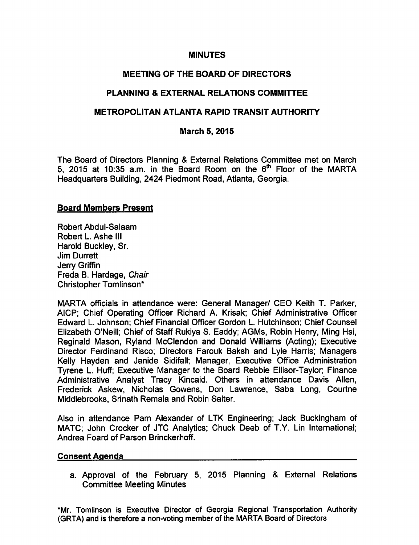#### MINUTES

## MEETING OF THE BOARD OF DIRECTORS

## PLANNING & EXTERNAL RELATIONS COMMITTEE

### METROPOLITAN ATLANTA RAPID TRANSIT AUTHORITY

#### March 5, 2015

The Board of Directors Planning & External Relations Committee met on March 5, 2015 at 10:35 a.m. in the Board Room on the  $6<sup>th</sup>$  Floor of the MARTA Headquarters Building, 2424 Piedmont Road, Atlanta, Georgia.

#### Board Members Present

Robert Abdul-Salaam Robert L. Ashe III Harold Buckley, Sr. Jim Durrett Jerry Griffin Freda B. Hardage, Chair Christopher Tomlinson\*

MARTA officials in attendance were: General Manager/ CEO Keith T. Parker, AICP; Chief Operating Officer Richard A. Krisak; Chief Administrative Officer Edward L. Johnson; Chief Financial Officer Gordon L. Hutchinson; Chief Counsel Elizabeth O'Neill; Chief of Staff Rukiya S. Eaddy; AGMs, Robin Henry, Ming Hsi, Reginald Mason, Ryland McClendon and Donald Williams (Acting); Executive Director Ferdinand Risco; Directors Farouk Baksh and Lyle Harris; Managers Kelly Hayden and Janide Sidifall; Manager, Executive Office Administration Tyrene L. Huff; Executive Manager to the Board Rebbie Ellisor-Taylor; Finance Administrative Analyst Tracy Kincaid. Others in attendance Davis Allen, Frederick Askew, Nicholas Gowens, Don Lawrence, Saba Long, Courtne Middlebrooks, Srinath Remala and Robin Salter.

Also in attendance Pam Alexander of LTK Engineering; Jack Buckingham of MATC; John Crocker of JTC Analytics; Chuck Deeb of T.Y. Lin International; Andrea Foard of Parson Brinckerhoff.

#### Consent Agenda

a. Approval of the February 5, 2015 Planning & External Relations Committee Meeting Minutes

\*Mr. Tomlinson is Executive Director of Georgia Regional Transportation Authority (GRTA) and is therefore a non-voting member of the MARTA Board of Directors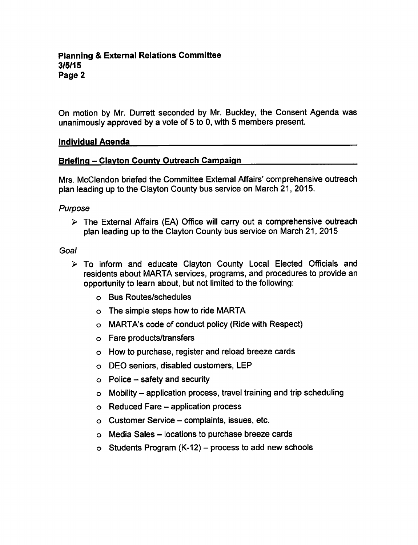On motion by Mr. Durrett seconded by Mr. Buckley, the Consent Agenda was unanimously approved by a vote of 5 to 0, with 5 members present.

#### Individual Agenda

#### Briefing - Clayton County Outreach Campaign

Mrs. McClendon briefed the Committee External Affairs' comprehensive outreach plan leading up to the Clayton County bus service on March 21, 2015.

#### Purpose

 $\triangleright$  The External Affairs (EA) Office will carry out a comprehensive outreach plan leading up to the Clayton County bus service on March 21, 2015

#### Goal

- To inform and educate Clayton County Local Elected Officials and residents about MARTA services, programs, and procedures to provide an opportunity to learn about, but not limited to the following:
	- Bus Routes/schedules
	- The simple steps how to ride MARTA
	- MARTA's code of conduct policy (Ride with Respect)
	- Fare products/transfers
	- How to purchase, register and reload breeze cards
	- DEO seniors, disabled customers, LEP
	- $\circ$  Police safety and security
	- $\circ$  Mobility application process, travel training and trip scheduling
	- $\circ$  Reduced Fare application process
	- $\circ$  Customer Service complaints, issues, etc.
	- $\circ$  Media Sales locations to purchase breeze cards
	- $\circ$  Students Program (K-12) process to add new schools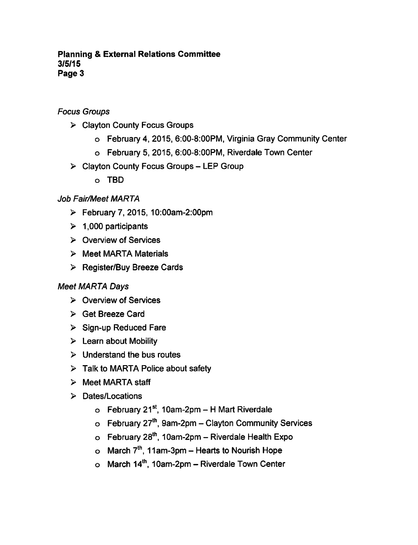### **Planning & External Relations Committee** 3/5/15 Page 3

Focus Groups

- Clayton County Focus Groups
	- February 4, 2015, 6:00-8:00PM, Virginia Gray Community Center
	- February 5, 2015, 6:00-8:00PM, Riverdale Town Center
- $\triangleright$  Clayton County Focus Groups LEP Group
	- TBD

# Job Fair/Meet MARTA

- February 7, 2015, 10:00am-2:00pm
- $\geq 1,000$  participants
- $\triangleright$  Overview of Services
- $\triangleright$  Meet MARTA Materials
- Register/Buy Breeze Cards

# Meet MARTA Days

- $\triangleright$  Overview of Services
- Get Breeze Card
- $\triangleright$  Sign-up Reduced Fare
- $\triangleright$  Learn about Mobility
- $\triangleright$  Understand the bus routes
- $\triangleright$  Talk to MARTA Police about safety
- $\triangleright$  Meet MARTA staff
- > Dates/Locations
	- $\circ$  February 21<sup>st</sup>, 10am-2pm H Mart Riverdale
	- $\circ$  February 27<sup>th</sup>, 9am-2pm Clayton Community Services
	- $\circ$  February 28<sup>th</sup>, 10am-2pm Riverdale Health Expo
	- o March  $7<sup>th</sup>$ , 11am-3pm Hearts to Nourish Hope
	- $\circ$  March 14<sup>th</sup>, 10am-2pm Riverdale Town Center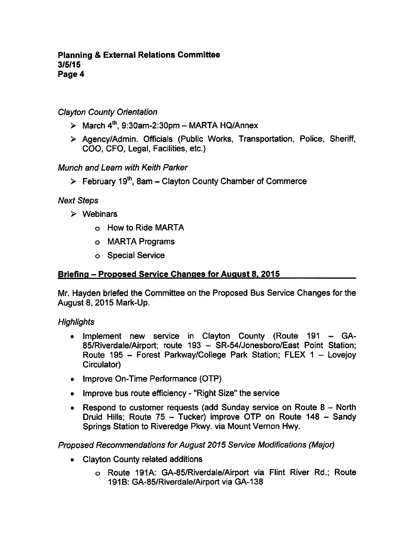#### **Planning & External Relations Committee** 3/5/15 Page

# Clayton County Orientation

- $\geq$  March 4<sup>th</sup>, 9:30am-2:30pm MARTA HQ/Annex
- Agency/Admin. Officials (Public Works, Transportation, Police, Sheriff, COO, CFO, Legal, Facilities, etc.)

# Munch and Learn with Keith Parker

 $\triangleright$  February 19<sup>th</sup>, 8am – Clayton County Chamber of Commerce

### Next Steps

- $\triangleright$  Webinars
	- How to Ride MARTA
	- MARTA Programs
	- o Special Service

### Briefing – Proposed Service Changes for August 8, 2015

Mr. Hayden briefed the Committee on the Proposed Bus Service Changes for the August 8, 2015 Mark-Up.

### **Highlights**

- Implement new service in Clayton County (Route 191 GA-85/Riverdale/Airport; route 193 - SR-54/Jonesboro/East Point Station; Route 195 - Forest Parkway/College Park Station; FLEX 1 - Lovejoy Circulator)
- Improve On-Time Performance (OTP)
- Improve bus route efficiency "Right Size" the service
- Respond to customer requests (add Sunday service on Route  $8 -$  North Druid Hills; Route  $75 -$  Tucker) improve OTP on Route  $148 -$  Sandy Springs Station to Riveredge Pkwy. via Mount Vernon Hwy.

### Proposed Recommendations for August 2015 Service Modifications (Major)

- Clayton County related additions
	- o Route 191A: GA-85/Riverdale/Airport via Flint River Rd.; Route 191B: GA-85/Riverdale/Airport via GA-138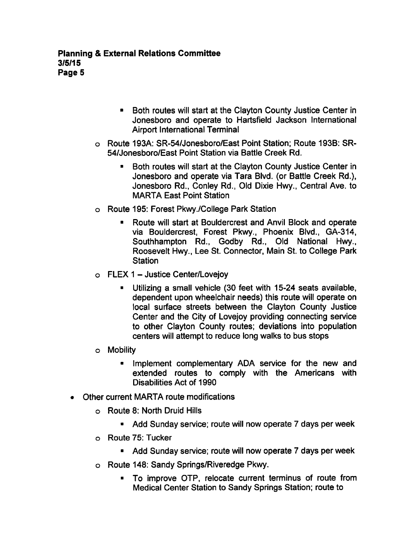- $\blacksquare$ Both routes will start at the Clayton County Justice Center in Jonesboro and operate to Hartsfield Jackson International Airport International Terminal
- Route 193A: SR-54/Jonesboro/East Point Station; Route 193B: SR-54/Jonesboro/East Point Station via Battle Creek Rd.
	- Both routes will start at the Clayton County Justice Center in Jonesboro and operate via Tara Blvd. (or Battle Creek Rd.), Jonesboro Rd., Conley Rd., Old Dixie Hwy., Central Ave. to MARTA East Point Station
- Route 195: Forest Pkwy./College Park Station
	- Route will start at Bouldercrest and Anvil Block and operate  $\blacksquare$ via Bouldercrest, Forest Pkwy., Phoenix Blvd., GA-314, Southhampton Rd., Godby Rd., Old National Hwy., Roosevelt Hwy., Lee St. Connector, Main St. to College Park **Station**
- $\circ$  FLEX 1 Justice Center/Lovejoy
	- **Utilizing a small vehicle (30 feet with 15-24 seats available,** dependent upon wheelchair needs) this route will operate on local surface streets between the Clayton County Justice Center and the City of Lovejoy providing connecting service to other Clayton County routes; deviations into population centers will attempt to reduce long walks to bus stops
- Mobility
	- Implement complementary ADA service for the new and  $\bullet$ extended routes to comply with the Americans with Disabilities Act of 1990
- Other current MARTA route modifications
	- Route 8: North Druid Hills
		- $\blacksquare$  Add Sunday service; route will now operate 7 days per week
	- Route 75: Tucker
		- Add Sunday service; route will now operate 7 days per week
	- Route 148: Sandy Springs/Riveredge Pkwy.
		- To improve OTP, relocate current terminus of route from Medical Center Station to Sandy Springs Station; route to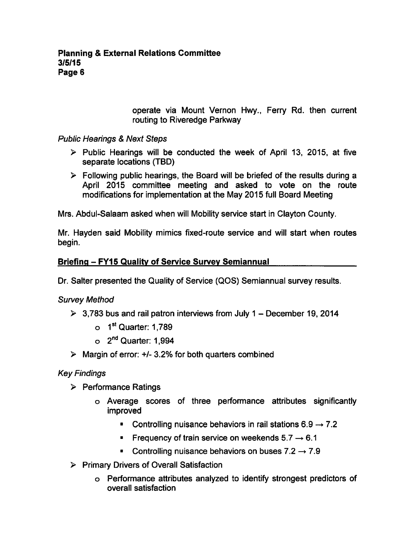operate via Mount Vernon Hwy., Ferry Rd. then current routing to Riveredge Parkway

Public Hearings & Next Steps

- $\triangleright$  Public Hearings will be conducted the week of April 13, 2015, at five separate locations (TBD)
- $\triangleright$  Following public hearings, the Board will be briefed of the results during a April 2015 committee meeting and asked to vote on the route modifications for implementation at the May 2015 full Board Meeting

Mrs. Abdul-Salaam asked when will Mobility service start in Clayton County.

Mr. Hayden said Mobility mimics fixed-route service and will start when routes begin.

## Briefing - FY15 Quality of Service Survey Semiannual

Dr. Salter presented the Quality of Service (QOS) Semiannual survey results.

Survey Method

- $\geq$  3,783 bus and rail patron interviews from July 1 December 19, 2014
	- $\circ$  1<sup>st</sup> Quarter: 1,789
	- $\circ$  2<sup>nd</sup> Quarter: 1,994
- $\triangleright$  Margin of error: +/- 3.2% for both quarters combined

Key Findings

- $\triangleright$  Performance Ratings
	- Average scores of three performance attributes significantly improved
		- Controlling nuisance behaviors in rail stations  $6.9 \rightarrow 7.2$
		- Frequency of train service on weekends  $5.7 \rightarrow 6.1$
		- Controlling nuisance behaviors on buses  $7.2 \rightarrow 7.9$
- $\triangleright$  Primary Drivers of Overall Satisfaction
	- Performance attributes analyzed to identify strongest predictors of overall satisfaction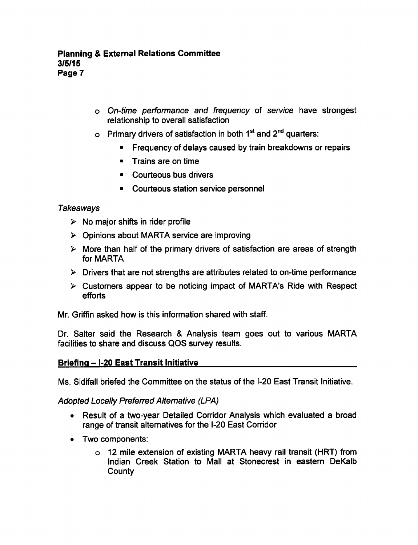- On-time performance and frequency of service have strongest relationship to overall satisfaction
- $\circ$  Primary drivers of satisfaction in both 1<sup>st</sup> and 2<sup>nd</sup> quarters:
	- Frequency of delays caused by train breakdowns or repairs  $\blacksquare$
	- **Trains are on time**
	- Courteous bus drivers
	- **Courteous station service personnel**

### **Takeaways**

- $\triangleright$  No major shifts in rider profile
- Opinions about MARTA service are improving
- $\triangleright$  More than half of the primary drivers of satisfaction are areas of strength for MARTA
- $\triangleright$  Drivers that are not strengths are attributes related to on-time performance
- $\triangleright$  Customers appear to be noticing impact of MARTA's Ride with Respect efforts

Mr. Griffin asked how is this information shared with staff.

Dr. Salter said the Research & Analysis team goes out to various MARTA facilities to share and discuss QOS survey results.

### Briefing - I-20 East Transit Initiative

Ms. Sidifall briefed the Committee on the status of the I-20 East Transit Initiative.

Adopted Locally Preferred Alternative (LPA)

- Result of a two-year Detailed Corridor Analysis which evaluated a broad range of transit alternatives for the I-20 East Corridor
- Two components:
	- 12 mile extension of existing MARTA heavy rail transit (HRT) from Indian Creek Station to Mall at Stonecrest in eastern DeKalb **County**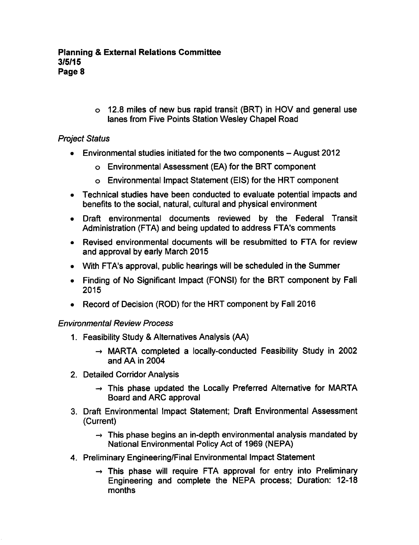12.8 miles of new bus rapid transit (BRT) in HOV and general use lanes from Five Points Station Wesley Chapel Road

# Project Status

- $\bullet$  Environmental studies initiated for the two components  $-$  August 2012
	- Environmental Assessment (EA) for the BRT component
	- Environmental Impact Statement (EIS) for the HRT component
- Technical studies have been conducted to evaluate potential impacts and benefits to the social, natural, cultural and physical environment
- Draft environmental documents reviewed by the Federal Transit Administration (FTA) and being updated to address FTA's comments
- Revised environmental documents will be resubmitted to FTA for review and approval by early March 2015
- With FTA's approval, public hearings will be scheduled in the Summer
- Finding of No Significant Impact (FONSI) for the BRT component by Fall 2015
- Record of Decision (ROD) for the HRT component by Fall 2016

### Environmental Review Process

- 1. Feasibility Study Alternatives Analysis (AA)
	- $\rightarrow$  MARTA completed a locally-conducted Feasibility Study in 2002 and AA in 2004
- 2. Detailed Corridor Analysis
	- $\rightarrow$  This phase updated the Locally Preferred Alternative for MARTA Board and ARC approval
- 3. Draft Environmental Impact Statement; Draft Environmental Assessment (Current)
	- $\rightarrow$  This phase begins an in-depth environmental analysis mandated by National Environmental Policy Act of 1969 (NEPA)
- 4. Preliminary Engineering/Final Environmental Impact Statement
	- $\rightarrow$  This phase will require FTA approval for entry into Preliminary Engineering and complete the NEPA process; Duration: 12-18 months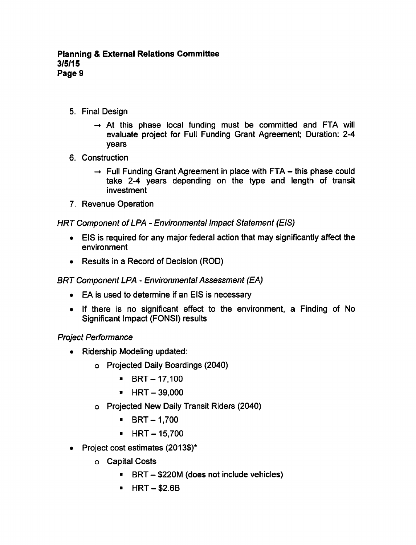- 5. Final Design
	- $\rightarrow$  At this phase local funding must be committed and FTA will evaluate project for Full Funding Grant Agreement; Duration: 2-4 years
- 6. Construction
	- $\rightarrow$  Full Funding Grant Agreement in place with FTA this phase could take 2-4 years depending on the type and length of transit investment
- 7. Revenue Operation

# HRT Component of LPA - Environmental Impact Statement (EIS)

- EIS is required for any major federal action that may significantly affect the  $\bullet$ environment
- Results in a Record of Decision (ROD)

# BRT Component LPA - Environmental Assessment (EA)

- EA is used to determine if an EIS is necessary
- $\bullet$  If there is no significant effect to the environment, a Finding of No Significant Impact (FONSI) results

# Project Performance

- Ridership Modeling updated:
	- Projected Daily Boardings (2040)
		- $\blacksquare$  BRT 17,100
		- $HRT 39,000$
	- Projected New Daily Transit Riders (2040)
		- $\blacksquare$  $BRT - 1,700$
		- $-HRT 15,700$
- Project cost estimates (2013\$)\*
	- Capital Costs
		- BRT \$220M (does not include vehicles)
		- $HRT $2.6B$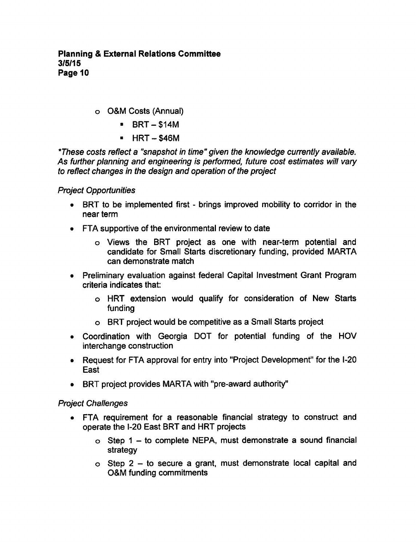- O&M Costs (Annual)
	- $-BRT $14M$
	- $HRT $46M$

\*These costs reflect a "snapshot in time" given the knowledge currently available. As further planning and engineering is performed, future cost estimates will vary to reflect changes in the design and operation of the project

### Project Opportunities

- $\bullet$  BRT to be implemented first brings improved mobility to corridor in the near term
- FTA supportive of the environmental review to date
	- Views the BRT project as one with near-term potential and candidate for Small Starts discretionary funding, provided MARTA can demonstrate match
- Preliminary evaluation against federal Capital Investment Grant Program criteria indicates that:
	- HRT extension would qualify for consideration of New Starts funding
	- BRT project would be competitive as a Small Starts project
- Coordination with Georgia DOT for potential funding of the HOV interchange construction
- Request for FTA approval for entry into "Project Development" for the I-20 East
- BRT project provides MARTA with "pre-award authority"

### Project Challenges

- FTA requirement for a reasonable financial strategy to construct and operate the I-20 East BRT and HRT projects
	- $\circ$  Step 1 to complete NEPA, must demonstrate a sound financial strategy
	- $\circ$  Step 2 to secure a grant, must demonstrate local capital and O&M funding commitments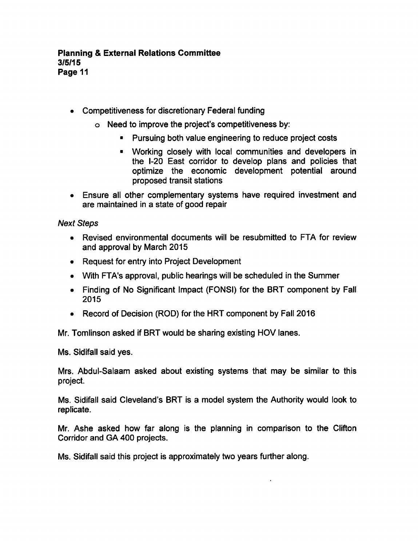- Competitiveness for discretionary Federal funding
	- Need to improve the project's competitiveness by:
		- **Pursuing both value engineering to reduce project costs**
		- Working closely with local communities and developers in the I-20 East corridor to develop plans and policies that optimize the economic development potential around proposed transit stations
- Ensure all other complementary systems have required investment and are maintained in a state of good repair

### Next Steps

- Revised environmental documents will be resubmitted to FTA for review and approval by March 2015
- Request for entry into Project Development
- With FTA's approval, public hearings will be scheduled in the Summer
- Finding of No Significant Impact (FONSI) for the BRT component by Fall 2015
- Record of Decision (ROD) for the HRT component by Fall 2016

Mr. Tomlinson asked if BRT would be sharing existing HOV lanes.

Ms. Sidifall said yes.

Mrs. Abdul-Salaam asked about existing systems that may be similar to this project.

Ms. Sidifall said Cleveland's BRT is a model system the Authority would look to replicate.

Mr. Ashe asked how far along is the planning in comparison to the Clifton Corridor and GA 400 projects.

Ms. Sidifall said this project is approximately two years further along.